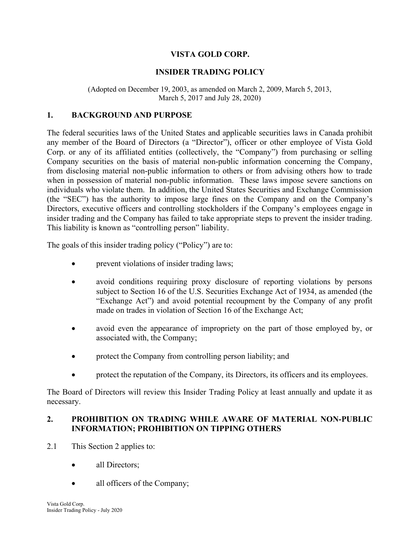# VISTA GOLD CORP.

# INSIDER TRADING POLICY

(Adopted on December 19, 2003, as amended on March 2, 2009, March 5, 2013, March 5, 2017 and July 28, 2020)

### 1. BACKGROUND AND PURPOSE

The federal securities laws of the United States and applicable securities laws in Canada prohibit any member of the Board of Directors (a "Director"), officer or other employee of Vista Gold Corp. or any of its affiliated entities (collectively, the "Company") from purchasing or selling Company securities on the basis of material non-public information concerning the Company, from disclosing material non-public information to others or from advising others how to trade when in possession of material non-public information. These laws impose severe sanctions on individuals who violate them. In addition, the United States Securities and Exchange Commission (the "SEC") has the authority to impose large fines on the Company and on the Company's Directors, executive officers and controlling stockholders if the Company's employees engage in insider trading and the Company has failed to take appropriate steps to prevent the insider trading. This liability is known as "controlling person" liability.

The goals of this insider trading policy ("Policy") are to:

- prevent violations of insider trading laws;
- avoid conditions requiring proxy disclosure of reporting violations by persons subject to Section 16 of the U.S. Securities Exchange Act of 1934, as amended (the "Exchange Act") and avoid potential recoupment by the Company of any profit made on trades in violation of Section 16 of the Exchange Act;
- avoid even the appearance of impropriety on the part of those employed by, or associated with, the Company;
- protect the Company from controlling person liability; and
- protect the reputation of the Company, its Directors, its officers and its employees.

The Board of Directors will review this Insider Trading Policy at least annually and update it as necessary.

### 2. PROHIBITION ON TRADING WHILE AWARE OF MATERIAL NON-PUBLIC INFORMATION; PROHIBITION ON TIPPING OTHERS

- 2.1 This Section 2 applies to:
	- all Directors:
	- all officers of the Company;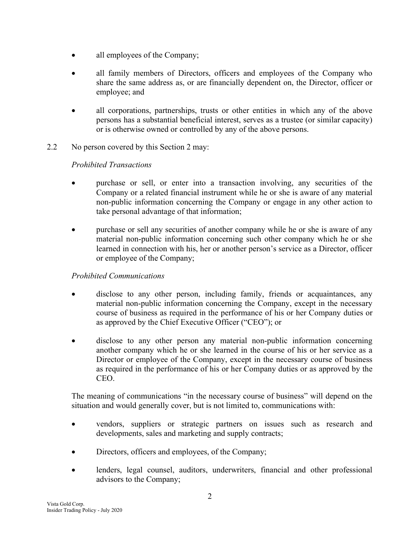- all employees of the Company;
- all family members of Directors, officers and employees of the Company who share the same address as, or are financially dependent on, the Director, officer or employee; and
- all corporations, partnerships, trusts or other entities in which any of the above persons has a substantial beneficial interest, serves as a trustee (or similar capacity) or is otherwise owned or controlled by any of the above persons.
- 2.2 No person covered by this Section 2 may:

# Prohibited Transactions

- purchase or sell, or enter into a transaction involving, any securities of the Company or a related financial instrument while he or she is aware of any material non-public information concerning the Company or engage in any other action to take personal advantage of that information;
- purchase or sell any securities of another company while he or she is aware of any material non-public information concerning such other company which he or she learned in connection with his, her or another person's service as a Director, officer or employee of the Company;

# Prohibited Communications

- disclose to any other person, including family, friends or acquaintances, any material non-public information concerning the Company, except in the necessary course of business as required in the performance of his or her Company duties or as approved by the Chief Executive Officer ("CEO"); or
- disclose to any other person any material non-public information concerning another company which he or she learned in the course of his or her service as a Director or employee of the Company, except in the necessary course of business as required in the performance of his or her Company duties or as approved by the CEO.

The meaning of communications "in the necessary course of business" will depend on the situation and would generally cover, but is not limited to, communications with:

- vendors, suppliers or strategic partners on issues such as research and developments, sales and marketing and supply contracts;
- Directors, officers and employees, of the Company;
- lenders, legal counsel, auditors, underwriters, financial and other professional advisors to the Company;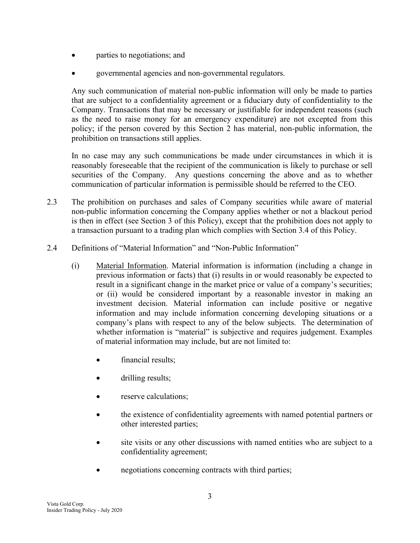- parties to negotiations; and
- governmental agencies and non-governmental regulators.

Any such communication of material non-public information will only be made to parties that are subject to a confidentiality agreement or a fiduciary duty of confidentiality to the Company. Transactions that may be necessary or justifiable for independent reasons (such as the need to raise money for an emergency expenditure) are not excepted from this policy; if the person covered by this Section 2 has material, non-public information, the prohibition on transactions still applies.

In no case may any such communications be made under circumstances in which it is reasonably foreseeable that the recipient of the communication is likely to purchase or sell securities of the Company. Any questions concerning the above and as to whether communication of particular information is permissible should be referred to the CEO.

- 2.3 The prohibition on purchases and sales of Company securities while aware of material non-public information concerning the Company applies whether or not a blackout period is then in effect (see Section 3 of this Policy), except that the prohibition does not apply to a transaction pursuant to a trading plan which complies with Section 3.4 of this Policy.
- 2.4 Definitions of "Material Information" and "Non-Public Information"
	- (i) Material Information. Material information is information (including a change in previous information or facts) that (i) results in or would reasonably be expected to result in a significant change in the market price or value of a company's securities; or (ii) would be considered important by a reasonable investor in making an investment decision. Material information can include positive or negative information and may include information concerning developing situations or a company's plans with respect to any of the below subjects. The determination of whether information is "material" is subjective and requires judgement. Examples of material information may include, but are not limited to:
		- financial results;
		- drilling results;
		- reserve calculations;
		- the existence of confidentiality agreements with named potential partners or other interested parties;
		- site visits or any other discussions with named entities who are subject to a confidentiality agreement;
		- negotiations concerning contracts with third parties;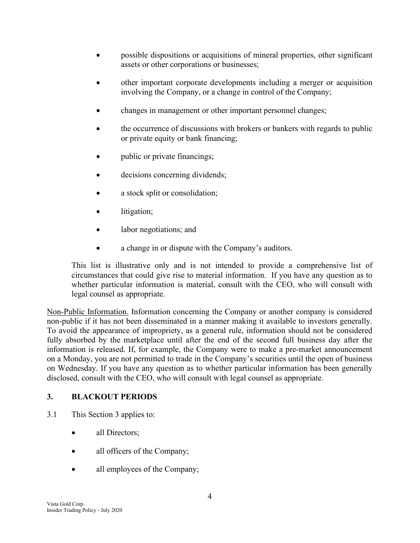- possible dispositions or acquisitions of mineral properties, other significant assets or other corporations or businesses;
- other important corporate developments including a merger or acquisition involving the Company, or a change in control of the Company;
- changes in management or other important personnel changes;
- the occurrence of discussions with brokers or bankers with regards to public or private equity or bank financing;
- public or private financings;
- decisions concerning dividends;
- a stock split or consolidation;
- litigation;
- labor negotiations; and
- a change in or dispute with the Company's auditors.

This list is illustrative only and is not intended to provide a comprehensive list of circumstances that could give rise to material information. If you have any question as to whether particular information is material, consult with the CEO, who will consult with legal counsel as appropriate.

Non-Public Information. Information concerning the Company or another company is considered non-public if it has not been disseminated in a manner making it available to investors generally. To avoid the appearance of impropriety, as a general rule, information should not be considered fully absorbed by the marketplace until after the end of the second full business day after the information is released. If, for example, the Company were to make a pre-market announcement on a Monday, you are not permitted to trade in the Company's securities until the open of business on Wednesday. If you have any question as to whether particular information has been generally disclosed, consult with the CEO, who will consult with legal counsel as appropriate.

# 3. BLACKOUT PERIODS

- 3.1 This Section 3 applies to:
	- all Directors:
	- all officers of the Company;
	- all employees of the Company;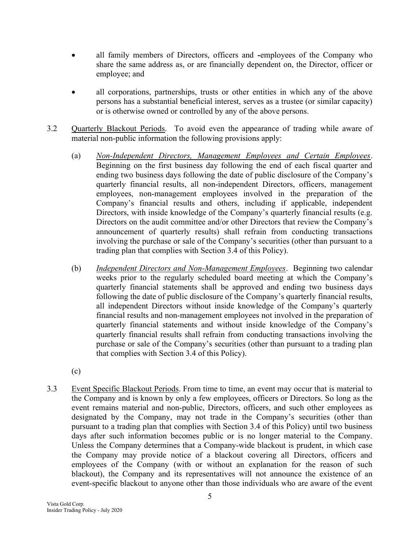- all family members of Directors, officers and -employees of the Company who share the same address as, or are financially dependent on, the Director, officer or employee; and
- all corporations, partnerships, trusts or other entities in which any of the above persons has a substantial beneficial interest, serves as a trustee (or similar capacity) or is otherwise owned or controlled by any of the above persons.
- 3.2 Quarterly Blackout Periods. To avoid even the appearance of trading while aware of material non-public information the following provisions apply:
	- (a) Non-Independent Directors, Management Employees and Certain Employees. Beginning on the first business day following the end of each fiscal quarter and ending two business days following the date of public disclosure of the Company's quarterly financial results, all non-independent Directors, officers, management employees, non-management employees involved in the preparation of the Company's financial results and others, including if applicable, independent Directors, with inside knowledge of the Company's quarterly financial results (e.g. Directors on the audit committee and/or other Directors that review the Company's announcement of quarterly results) shall refrain from conducting transactions involving the purchase or sale of the Company's securities (other than pursuant to a trading plan that complies with Section 3.4 of this Policy).
	- (b) Independent Directors and Non-Management Employees. Beginning two calendar weeks prior to the regularly scheduled board meeting at which the Company's quarterly financial statements shall be approved and ending two business days following the date of public disclosure of the Company's quarterly financial results, all independent Directors without inside knowledge of the Company's quarterly financial results and non-management employees not involved in the preparation of quarterly financial statements and without inside knowledge of the Company's quarterly financial results shall refrain from conducting transactions involving the purchase or sale of the Company's securities (other than pursuant to a trading plan that complies with Section 3.4 of this Policy).
	- (c)
- 3.3 Event Specific Blackout Periods. From time to time, an event may occur that is material to the Company and is known by only a few employees, officers or Directors. So long as the event remains material and non-public, Directors, officers, and such other employees as designated by the Company, may not trade in the Company's securities (other than pursuant to a trading plan that complies with Section 3.4 of this Policy) until two business days after such information becomes public or is no longer material to the Company. Unless the Company determines that a Company-wide blackout is prudent, in which case the Company may provide notice of a blackout covering all Directors, officers and employees of the Company (with or without an explanation for the reason of such blackout), the Company and its representatives will not announce the existence of an event-specific blackout to anyone other than those individuals who are aware of the event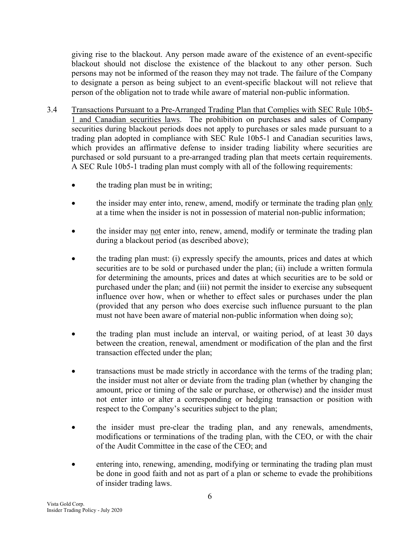giving rise to the blackout. Any person made aware of the existence of an event-specific blackout should not disclose the existence of the blackout to any other person. Such persons may not be informed of the reason they may not trade. The failure of the Company to designate a person as being subject to an event-specific blackout will not relieve that person of the obligation not to trade while aware of material non-public information.

- 3.4 Transactions Pursuant to a Pre-Arranged Trading Plan that Complies with SEC Rule 10b5- 1 and Canadian securities laws. The prohibition on purchases and sales of Company securities during blackout periods does not apply to purchases or sales made pursuant to a trading plan adopted in compliance with SEC Rule 10b5-1 and Canadian securities laws, which provides an affirmative defense to insider trading liability where securities are purchased or sold pursuant to a pre-arranged trading plan that meets certain requirements. A SEC Rule 10b5-1 trading plan must comply with all of the following requirements:
	- the trading plan must be in writing;
	- the insider may enter into, renew, amend, modify or terminate the trading plan only at a time when the insider is not in possession of material non-public information;
	- the insider may not enter into, renew, amend, modify or terminate the trading plan during a blackout period (as described above);
	- the trading plan must: (i) expressly specify the amounts, prices and dates at which securities are to be sold or purchased under the plan; (ii) include a written formula for determining the amounts, prices and dates at which securities are to be sold or purchased under the plan; and (iii) not permit the insider to exercise any subsequent influence over how, when or whether to effect sales or purchases under the plan (provided that any person who does exercise such influence pursuant to the plan must not have been aware of material non-public information when doing so);
	- the trading plan must include an interval, or waiting period, of at least 30 days between the creation, renewal, amendment or modification of the plan and the first transaction effected under the plan;
	- transactions must be made strictly in accordance with the terms of the trading plan; the insider must not alter or deviate from the trading plan (whether by changing the amount, price or timing of the sale or purchase, or otherwise) and the insider must not enter into or alter a corresponding or hedging transaction or position with respect to the Company's securities subject to the plan;
	- the insider must pre-clear the trading plan, and any renewals, amendments, modifications or terminations of the trading plan, with the CEO, or with the chair of the Audit Committee in the case of the CEO; and
	- entering into, renewing, amending, modifying or terminating the trading plan must be done in good faith and not as part of a plan or scheme to evade the prohibitions of insider trading laws.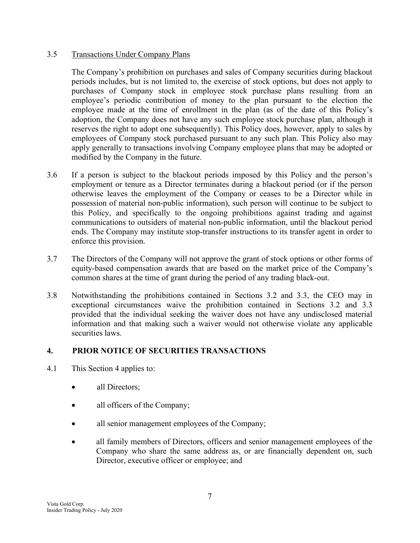### 3.5 Transactions Under Company Plans

The Company's prohibition on purchases and sales of Company securities during blackout periods includes, but is not limited to, the exercise of stock options, but does not apply to purchases of Company stock in employee stock purchase plans resulting from an employee's periodic contribution of money to the plan pursuant to the election the employee made at the time of enrollment in the plan (as of the date of this Policy's adoption, the Company does not have any such employee stock purchase plan, although it reserves the right to adopt one subsequently). This Policy does, however, apply to sales by employees of Company stock purchased pursuant to any such plan. This Policy also may apply generally to transactions involving Company employee plans that may be adopted or modified by the Company in the future.

- 3.6 If a person is subject to the blackout periods imposed by this Policy and the person's employment or tenure as a Director terminates during a blackout period (or if the person otherwise leaves the employment of the Company or ceases to be a Director while in possession of material non-public information), such person will continue to be subject to this Policy, and specifically to the ongoing prohibitions against trading and against communications to outsiders of material non-public information, until the blackout period ends. The Company may institute stop-transfer instructions to its transfer agent in order to enforce this provision.
- 3.7 The Directors of the Company will not approve the grant of stock options or other forms of equity-based compensation awards that are based on the market price of the Company's common shares at the time of grant during the period of any trading black-out.
- 3.8 Notwithstanding the prohibitions contained in Sections 3.2 and 3.3, the CEO may in exceptional circumstances waive the prohibition contained in Sections 3.2 and 3.3 provided that the individual seeking the waiver does not have any undisclosed material information and that making such a waiver would not otherwise violate any applicable securities laws.

# 4. PRIOR NOTICE OF SECURITIES TRANSACTIONS

- 4.1 This Section 4 applies to:
	- all Directors;
	- all officers of the Company;
	- all senior management employees of the Company;
	- all family members of Directors, officers and senior management employees of the Company who share the same address as, or are financially dependent on, such Director, executive officer or employee; and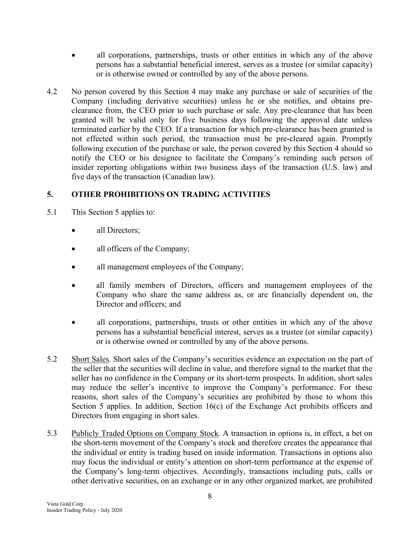- all corporations, partnerships, trusts or other entities in which any of the above persons has a substantial beneficial interest, serves as a trustee (or similar capacity) or is otherwise owned or controlled by any of the above persons.
- 4.2 No person covered by this Section 4 may make any purchase or sale of securities of the Company (including derivative securities) unless he or she notifies, and obtains preclearance from, the CEO prior to such purchase or sale. Any pre-clearance that has been granted will be valid only for five business days following the approval date unless terminated earlier by the CEO. If a transaction for which pre-clearance has been granted is not effected within such period, the transaction must be pre-cleared again. Promptly following execution of the purchase or sale, the person covered by this Section 4 should so notify the CEO or his designee to facilitate the Company's reminding such person of insider reporting obligations within two business days of the transaction (U.S. law) and five days of the transaction (Canadian law).

# 5. OTHER PROHIBITIONS ON TRADING ACTIVITIES

- 5.1 This Section 5 applies to:
	- all Directors;
	- all officers of the Company;
	- all management employees of the Company;
	- all family members of Directors, officers and management employees of the Company who share the same address as, or are financially dependent on, the Director and officers; and
	- all corporations, partnerships, trusts or other entities in which any of the above persons has a substantial beneficial interest, serves as a trustee (or similar capacity) or is otherwise owned or controlled by any of the above persons.
- 5.2 Short Sales. Short sales of the Company's securities evidence an expectation on the part of the seller that the securities will decline in value, and therefore signal to the market that the seller has no confidence in the Company or its short-term prospects. In addition, short sales may reduce the seller's incentive to improve the Company's performance. For these reasons, short sales of the Company's securities are prohibited by those to whom this Section 5 applies. In addition, Section 16(c) of the Exchange Act prohibits officers and Directors from engaging in short sales.
- 5.3 Publicly Traded Options on Company Stock. A transaction in options is, in effect, a bet on the short-term movement of the Company's stock and therefore creates the appearance that the individual or entity is trading based on inside information. Transactions in options also may focus the individual or entity's attention on short-term performance at the expense of the Company's long-term objectives. Accordingly, transactions including puts, calls or other derivative securities, on an exchange or in any other organized market, are prohibited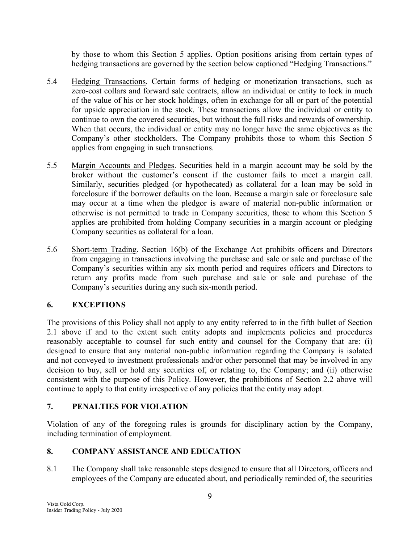by those to whom this Section 5 applies. Option positions arising from certain types of hedging transactions are governed by the section below captioned "Hedging Transactions."

- 5.4 Hedging Transactions. Certain forms of hedging or monetization transactions, such as zero-cost collars and forward sale contracts, allow an individual or entity to lock in much of the value of his or her stock holdings, often in exchange for all or part of the potential for upside appreciation in the stock. These transactions allow the individual or entity to continue to own the covered securities, but without the full risks and rewards of ownership. When that occurs, the individual or entity may no longer have the same objectives as the Company's other stockholders. The Company prohibits those to whom this Section 5 applies from engaging in such transactions.
- 5.5 Margin Accounts and Pledges. Securities held in a margin account may be sold by the broker without the customer's consent if the customer fails to meet a margin call. Similarly, securities pledged (or hypothecated) as collateral for a loan may be sold in foreclosure if the borrower defaults on the loan. Because a margin sale or foreclosure sale may occur at a time when the pledgor is aware of material non-public information or otherwise is not permitted to trade in Company securities, those to whom this Section 5 applies are prohibited from holding Company securities in a margin account or pledging Company securities as collateral for a loan.
- 5.6 Short-term Trading. Section 16(b) of the Exchange Act prohibits officers and Directors from engaging in transactions involving the purchase and sale or sale and purchase of the Company's securities within any six month period and requires officers and Directors to return any profits made from such purchase and sale or sale and purchase of the Company's securities during any such six-month period.

# 6. EXCEPTIONS

The provisions of this Policy shall not apply to any entity referred to in the fifth bullet of Section 2.1 above if and to the extent such entity adopts and implements policies and procedures reasonably acceptable to counsel for such entity and counsel for the Company that are: (i) designed to ensure that any material non-public information regarding the Company is isolated and not conveyed to investment professionals and/or other personnel that may be involved in any decision to buy, sell or hold any securities of, or relating to, the Company; and (ii) otherwise consistent with the purpose of this Policy. However, the prohibitions of Section 2.2 above will continue to apply to that entity irrespective of any policies that the entity may adopt.

# 7. PENALTIES FOR VIOLATION

Violation of any of the foregoing rules is grounds for disciplinary action by the Company, including termination of employment.

# 8. COMPANY ASSISTANCE AND EDUCATION

8.1 The Company shall take reasonable steps designed to ensure that all Directors, officers and employees of the Company are educated about, and periodically reminded of, the securities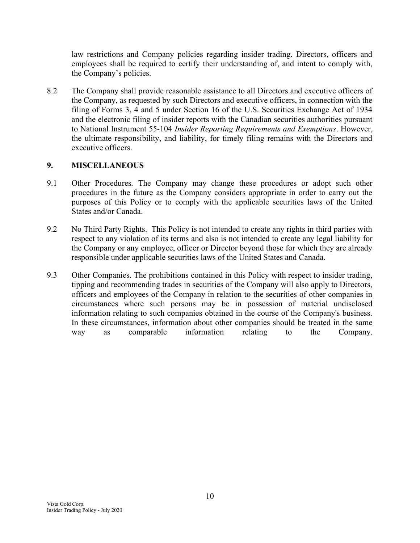law restrictions and Company policies regarding insider trading. Directors, officers and employees shall be required to certify their understanding of, and intent to comply with, the Company's policies.

8.2 The Company shall provide reasonable assistance to all Directors and executive officers of the Company, as requested by such Directors and executive officers, in connection with the filing of Forms 3, 4 and 5 under Section 16 of the U.S. Securities Exchange Act of 1934 and the electronic filing of insider reports with the Canadian securities authorities pursuant to National Instrument 55-104 Insider Reporting Requirements and Exemptions. However, the ultimate responsibility, and liability, for timely filing remains with the Directors and executive officers.

# 9. MISCELLANEOUS

- 9.1 Other Procedures. The Company may change these procedures or adopt such other procedures in the future as the Company considers appropriate in order to carry out the purposes of this Policy or to comply with the applicable securities laws of the United States and/or Canada.
- 9.2 No Third Party Rights. This Policy is not intended to create any rights in third parties with respect to any violation of its terms and also is not intended to create any legal liability for the Company or any employee, officer or Director beyond those for which they are already responsible under applicable securities laws of the United States and Canada.
- 9.3 Other Companies. The prohibitions contained in this Policy with respect to insider trading, tipping and recommending trades in securities of the Company will also apply to Directors, officers and employees of the Company in relation to the securities of other companies in circumstances where such persons may be in possession of material undisclosed information relating to such companies obtained in the course of the Company's business. In these circumstances, information about other companies should be treated in the same way as comparable information relating to the Company.